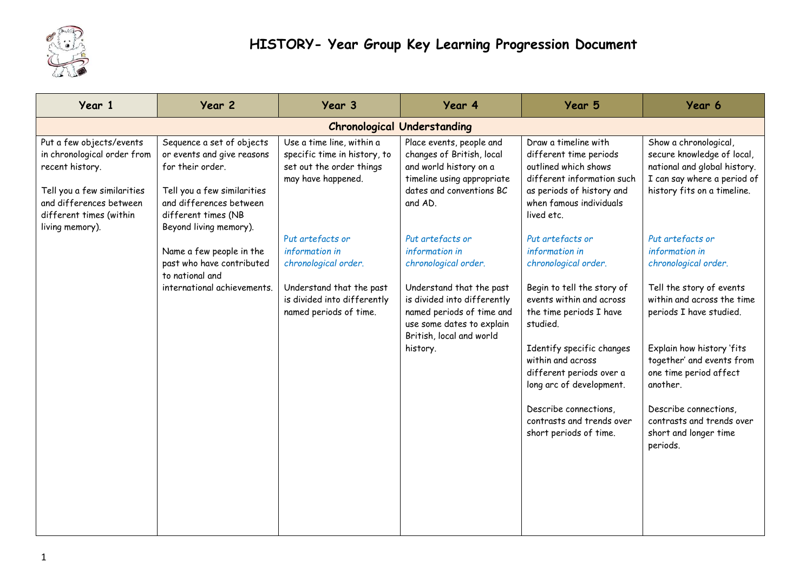

| Year 1                                                                                                                                                                             | Year 2                                                                                                                                                                                 | Year 3                                                                                                                                          | Year 4                                                                                                                                                                                                                  | Year 5                                                                                                                                                                                                                                                                                                                                                | Year 6                                                                                                                                                                                                                                                                                                                                     |  |  |
|------------------------------------------------------------------------------------------------------------------------------------------------------------------------------------|----------------------------------------------------------------------------------------------------------------------------------------------------------------------------------------|-------------------------------------------------------------------------------------------------------------------------------------------------|-------------------------------------------------------------------------------------------------------------------------------------------------------------------------------------------------------------------------|-------------------------------------------------------------------------------------------------------------------------------------------------------------------------------------------------------------------------------------------------------------------------------------------------------------------------------------------------------|--------------------------------------------------------------------------------------------------------------------------------------------------------------------------------------------------------------------------------------------------------------------------------------------------------------------------------------------|--|--|
| <b>Chronological Understanding</b>                                                                                                                                                 |                                                                                                                                                                                        |                                                                                                                                                 |                                                                                                                                                                                                                         |                                                                                                                                                                                                                                                                                                                                                       |                                                                                                                                                                                                                                                                                                                                            |  |  |
| Put a few objects/events<br>in chronological order from<br>recent history.<br>Tell you a few similarities<br>and differences between<br>different times (within<br>living memory). | Sequence a set of objects<br>or events and give reasons<br>for their order.<br>Tell you a few similarities<br>and differences between<br>different times (NB<br>Beyond living memory). | Use a time line, within a<br>specific time in history, to<br>set out the order things<br>may have happened.                                     | Place events, people and<br>changes of British, local<br>and world history on a<br>timeline using appropriate<br>dates and conventions BC<br>and AD.                                                                    | Draw a timeline with<br>different time periods<br>outlined which shows<br>different information such<br>as periods of history and<br>when famous individuals<br>lived etc.                                                                                                                                                                            | Show a chronological,<br>secure knowledge of local,<br>national and global history.<br>I can say where a period of<br>history fits on a timeline.                                                                                                                                                                                          |  |  |
|                                                                                                                                                                                    | Name a few people in the<br>past who have contributed<br>to national and<br>international achievements.                                                                                | Put artefacts or<br>information in<br>chronological order.<br>Understand that the past<br>is divided into differently<br>named periods of time. | Put artefacts or<br>information in<br>chronological order.<br>Understand that the past<br>is divided into differently<br>named periods of time and<br>use some dates to explain<br>British, local and world<br>history. | Put artefacts or<br>information in<br>chronological order.<br>Begin to tell the story of<br>events within and across<br>the time periods I have<br>studied.<br>Identify specific changes<br>within and across<br>different periods over a<br>long arc of development.<br>Describe connections,<br>contrasts and trends over<br>short periods of time. | Put artefacts or<br>information in<br>chronological order.<br>Tell the story of events<br>within and across the time<br>periods I have studied.<br>Explain how history 'fits<br>together' and events from<br>one time period affect<br>another.<br>Describe connections,<br>contrasts and trends over<br>short and longer time<br>periods. |  |  |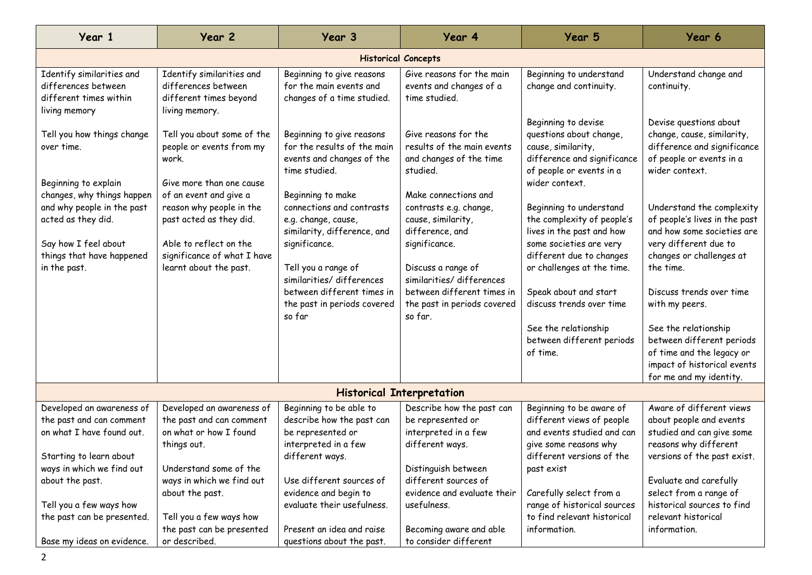| Year 1                                                                                                                                              | Year 2                                                                                                                                                           | Year 3                                                                                                                                                                                                                                          | Year 4                                                                                                                                                                                                                             | Year 5                                                                                                                                                                                                                                                                            | Year 6                                                                                                                                                                                                                                                        |  |  |
|-----------------------------------------------------------------------------------------------------------------------------------------------------|------------------------------------------------------------------------------------------------------------------------------------------------------------------|-------------------------------------------------------------------------------------------------------------------------------------------------------------------------------------------------------------------------------------------------|------------------------------------------------------------------------------------------------------------------------------------------------------------------------------------------------------------------------------------|-----------------------------------------------------------------------------------------------------------------------------------------------------------------------------------------------------------------------------------------------------------------------------------|---------------------------------------------------------------------------------------------------------------------------------------------------------------------------------------------------------------------------------------------------------------|--|--|
| <b>Historical Concepts</b>                                                                                                                          |                                                                                                                                                                  |                                                                                                                                                                                                                                                 |                                                                                                                                                                                                                                    |                                                                                                                                                                                                                                                                                   |                                                                                                                                                                                                                                                               |  |  |
| Identify similarities and<br>differences between<br>different times within<br>living memory                                                         | Identify similarities and<br>differences between<br>different times beyond<br>living memory.                                                                     | Beginning to give reasons<br>for the main events and<br>changes of a time studied.                                                                                                                                                              | Give reasons for the main<br>events and changes of a<br>time studied.                                                                                                                                                              | Beginning to understand<br>change and continuity.                                                                                                                                                                                                                                 | Understand change and<br>continuity.                                                                                                                                                                                                                          |  |  |
| Tell you how things change<br>over time.<br>Beginning to explain                                                                                    | Tell you about some of the<br>people or events from my<br>work.<br>Give more than one cause                                                                      | Beginning to give reasons<br>for the results of the main<br>events and changes of the<br>time studied.                                                                                                                                          | Give reasons for the<br>results of the main events<br>and changes of the time<br>studied.                                                                                                                                          | Beginning to devise<br>questions about change,<br>cause, similarity,<br>difference and significance<br>of people or events in a<br>wider context.                                                                                                                                 | Devise questions about<br>change, cause, similarity,<br>difference and significance<br>of people or events in a<br>wider context.                                                                                                                             |  |  |
| changes, why things happen<br>and why people in the past<br>acted as they did.<br>Say how I feel about<br>things that have happened<br>in the past. | of an event and give a<br>reason why people in the<br>past acted as they did.<br>Able to reflect on the<br>significance of what I have<br>learnt about the past. | Beginning to make<br>connections and contrasts<br>e.g. change, cause,<br>similarity, difference, and<br>significance.<br>Tell you a range of<br>similarities/differences<br>between different times in<br>the past in periods covered<br>so far | Make connections and<br>contrasts e.g. change,<br>cause, similarity,<br>difference, and<br>significance.<br>Discuss a range of<br>similarities/differences<br>between different times in<br>the past in periods covered<br>so far. | Beginning to understand<br>the complexity of people's<br>lives in the past and how<br>some societies are very<br>different due to changes<br>or challenges at the time.<br>Speak about and start<br>discuss trends over time<br>See the relationship<br>between different periods | Understand the complexity<br>of people's lives in the past<br>and how some societies are<br>very different due to<br>changes or challenges at<br>the time.<br>Discuss trends over time<br>with my peers.<br>See the relationship<br>between different periods |  |  |
|                                                                                                                                                     |                                                                                                                                                                  |                                                                                                                                                                                                                                                 |                                                                                                                                                                                                                                    | of time.                                                                                                                                                                                                                                                                          | of time and the legacy or<br>impact of historical events                                                                                                                                                                                                      |  |  |
| for me and my identity.<br><b>Historical Interpretation</b>                                                                                         |                                                                                                                                                                  |                                                                                                                                                                                                                                                 |                                                                                                                                                                                                                                    |                                                                                                                                                                                                                                                                                   |                                                                                                                                                                                                                                                               |  |  |
| Developed an awareness of                                                                                                                           | Developed an awareness of                                                                                                                                        | Beginning to be able to                                                                                                                                                                                                                         | Describe how the past can                                                                                                                                                                                                          | Beginning to be aware of                                                                                                                                                                                                                                                          | Aware of different views                                                                                                                                                                                                                                      |  |  |
| the past and can comment<br>on what I have found out.                                                                                               | the past and can comment<br>on what or how I found<br>things out.                                                                                                | describe how the past can<br>be represented or<br>interpreted in a few                                                                                                                                                                          | be represented or<br>interpreted in a few<br>different ways.                                                                                                                                                                       | different views of people<br>and events studied and can<br>give some reasons why                                                                                                                                                                                                  | about people and events<br>studied and can give some<br>reasons why different                                                                                                                                                                                 |  |  |
| Starting to learn about                                                                                                                             |                                                                                                                                                                  | different ways.                                                                                                                                                                                                                                 |                                                                                                                                                                                                                                    | different versions of the                                                                                                                                                                                                                                                         | versions of the past exist.                                                                                                                                                                                                                                   |  |  |
| ways in which we find out<br>about the past.                                                                                                        | Understand some of the<br>ways in which we find out<br>about the past.                                                                                           | Use different sources of<br>evidence and begin to                                                                                                                                                                                               | Distinguish between<br>different sources of<br>evidence and evaluate their                                                                                                                                                         | past exist<br>Carefully select from a                                                                                                                                                                                                                                             | Evaluate and carefully<br>select from a range of                                                                                                                                                                                                              |  |  |
| Tell you a few ways how<br>the past can be presented.                                                                                               | Tell you a few ways how                                                                                                                                          | evaluate their usefulness.                                                                                                                                                                                                                      | usefulness.                                                                                                                                                                                                                        | range of historical sources<br>to find relevant historical                                                                                                                                                                                                                        | historical sources to find<br>relevant historical                                                                                                                                                                                                             |  |  |
| Base my ideas on evidence.                                                                                                                          | the past can be presented<br>or described.                                                                                                                       | Present an idea and raise<br>questions about the past.                                                                                                                                                                                          | Becoming aware and able<br>to consider different                                                                                                                                                                                   | information.                                                                                                                                                                                                                                                                      | information.                                                                                                                                                                                                                                                  |  |  |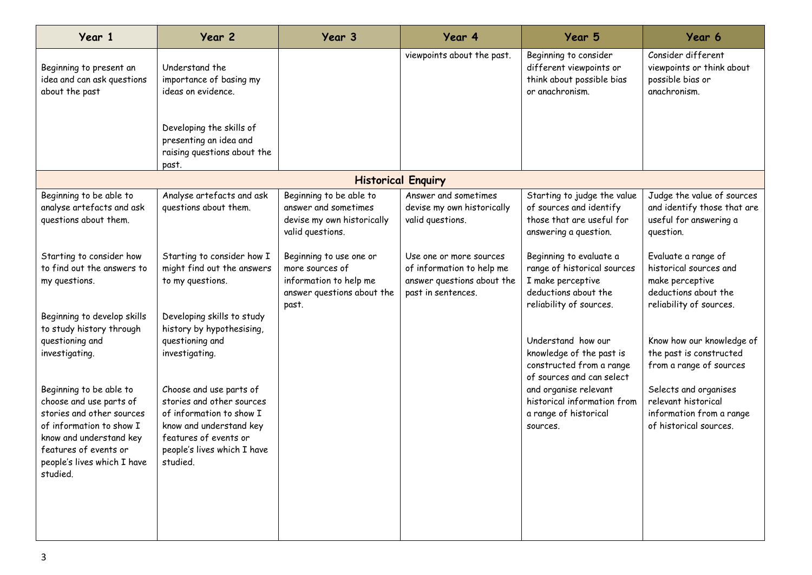| Year 1                                                                                                                                                                                                     | Year 2                                                                                                                                                                          | Year 3                                                                                                      | Year 4                                                                                                   | Year 5                                                                                                                         | Year 6                                                                                                              |  |
|------------------------------------------------------------------------------------------------------------------------------------------------------------------------------------------------------------|---------------------------------------------------------------------------------------------------------------------------------------------------------------------------------|-------------------------------------------------------------------------------------------------------------|----------------------------------------------------------------------------------------------------------|--------------------------------------------------------------------------------------------------------------------------------|---------------------------------------------------------------------------------------------------------------------|--|
| Beginning to present an<br>idea and can ask questions<br>about the past                                                                                                                                    | Understand the<br>importance of basing my<br>ideas on evidence.                                                                                                                 |                                                                                                             | viewpoints about the past.                                                                               | Beginning to consider<br>different viewpoints or<br>think about possible bias<br>or anachronism.                               | Consider different<br>viewpoints or think about<br>possible bias or<br>anachronism.                                 |  |
|                                                                                                                                                                                                            | Developing the skills of<br>presenting an idea and<br>raising questions about the<br>past.                                                                                      |                                                                                                             |                                                                                                          |                                                                                                                                |                                                                                                                     |  |
| <b>Historical Enquiry</b>                                                                                                                                                                                  |                                                                                                                                                                                 |                                                                                                             |                                                                                                          |                                                                                                                                |                                                                                                                     |  |
| Beginning to be able to<br>analyse artefacts and ask<br>questions about them.                                                                                                                              | Analyse artefacts and ask<br>questions about them.                                                                                                                              | Beginning to be able to<br>answer and sometimes<br>devise my own historically<br>valid questions.           | Answer and sometimes<br>devise my own historically<br>valid questions.                                   | Starting to judge the value<br>of sources and identify<br>those that are useful for<br>answering a question.                   | Judge the value of sources<br>and identify those that are<br>useful for answering a<br>question.                    |  |
| Starting to consider how<br>to find out the answers to<br>my questions.                                                                                                                                    | Starting to consider how I<br>might find out the answers<br>to my questions.                                                                                                    | Beginning to use one or<br>more sources of<br>information to help me<br>answer questions about the<br>past. | Use one or more sources<br>of information to help me<br>answer questions about the<br>past in sentences. | Beginning to evaluate a<br>range of historical sources<br>I make perceptive<br>deductions about the<br>reliability of sources. | Evaluate a range of<br>historical sources and<br>make perceptive<br>deductions about the<br>reliability of sources. |  |
| Beginning to develop skills<br>to study history through<br>questioning and<br>investigating.                                                                                                               | Developing skills to study<br>history by hypothesising,<br>questioning and<br>investigating.                                                                                    |                                                                                                             |                                                                                                          | Understand how our<br>knowledge of the past is<br>constructed from a range<br>of sources and can select                        | Know how our knowledge of<br>the past is constructed<br>from a range of sources                                     |  |
| Beginning to be able to<br>choose and use parts of<br>stories and other sources<br>of information to show I<br>know and understand key<br>features of events or<br>people's lives which I have<br>studied. | Choose and use parts of<br>stories and other sources<br>of information to show I<br>know and understand key<br>features of events or<br>people's lives which I have<br>studied. |                                                                                                             |                                                                                                          | and organise relevant<br>historical information from<br>a range of historical<br>sources.                                      | Selects and organises<br>relevant historical<br>information from a range<br>of historical sources.                  |  |